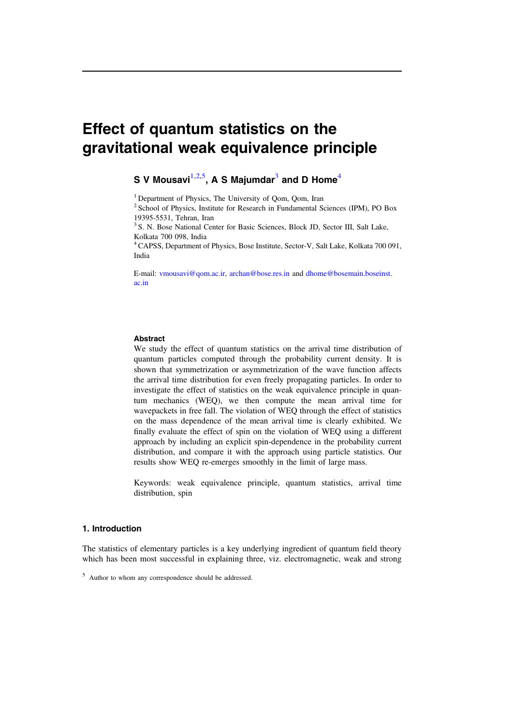# Effect of quantum statistics on the gravitational weak equivalence principle

# **S** V Mousavi $^{1,2,5}$  $^{1,2,5}$  $^{1,2,5}$  $^{1,2,5}$  $^{1,2,5}$ , A S Majumdar $^3$  $^3$  and D Home $^4$  $^4$

<span id="page-0-0"></span><sup>1</sup> Department of Physics, The University of Oom, Oom, Iran

<span id="page-0-1"></span><sup>2</sup> School of Physics, Institute for Research in Fundamental Sciences (IPM), PO Box 19395-5531, Tehran, Iran

<span id="page-0-3"></span><sup>3</sup> S. N. Bose National Center for Basic Sciences, Block JD, Sector III, Salt Lake, Kolkata 700 098, India

<span id="page-0-4"></span>4CAPSS, Department of Physics, Bose Institute, Sector-V, Salt Lake, Kolkata 700 091, India

E-mail: [vmousavi@qom.ac.ir](mailto:vmousavi@qom.ac.ir), [archan@bose.res.in](mailto:archan@bose.res.in) and [dhome@bosemain.boseinst.](mailto:dhome@bosemain.boseinst.ac.in) [ac.in](mailto:dhome@bosemain.boseinst.ac.in)

#### Abstract

We study the effect of quantum statistics on the arrival time distribution of quantum particles computed through the probability current density. It is shown that symmetrization or asymmetrization of the wave function affects the arrival time distribution for even freely propagating particles. In order to investigate the effect of statistics on the weak equivalence principle in quantum mechanics (WEQ), we then compute the mean arrival time for wavepackets in free fall. The violation of WEQ through the effect of statistics on the mass dependence of the mean arrival time is clearly exhibited. We finally evaluate the effect of spin on the violation of WEQ using a different approach by including an explicit spin-dependence in the probability current distribution, and compare it with the approach using particle statistics. Our results show WEQ re-emerges smoothly in the limit of large mass.

Keywords: weak equivalence principle, quantum statistics, arrival time distribution, spin

# 1. Introduction

The statistics of elementary particles is a key underlying ingredient of quantum field theory which has been most successful in explaining three, viz. electromagnetic, weak and strong

<span id="page-0-2"></span><sup>5</sup> Author to whom any correspondence should be addressed.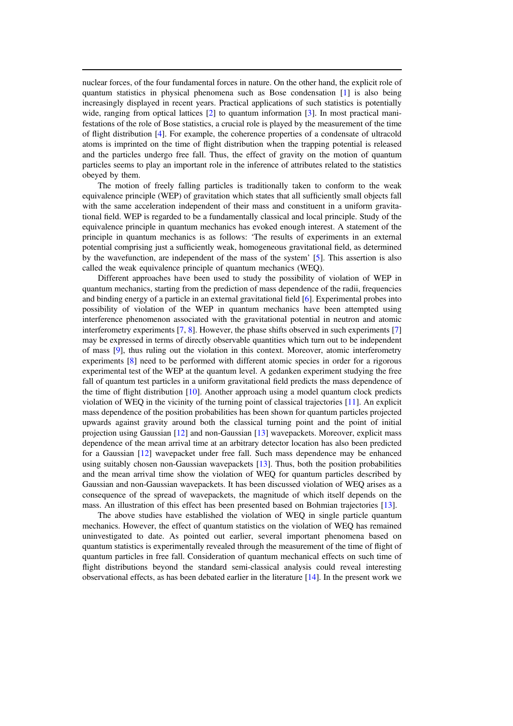nuclear forces, of the four fundamental forces in nature. On the other hand, the explicit role of quantum statistics in physical phenomena such as Bose condensation [[1](#page-14-0)] is also being increasingly displayed in recent years. Practical applications of such statistics is potentially wide, ranging from optical lattices [[2](#page-14-1)] to quantum information [[3](#page-14-2)]. In most practical manifestations of the role of Bose statistics, a crucial role is played by the measurement of the time of flight distribution [[4](#page-14-3)]. For example, the coherence properties of a condensate of ultracold atoms is imprinted on the time of flight distribution when the trapping potential is released and the particles undergo free fall. Thus, the effect of gravity on the motion of quantum particles seems to play an important role in the inference of attributes related to the statistics obeyed by them.

The motion of freely falling particles is traditionally taken to conform to the weak equivalence principle (WEP) of gravitation which states that all sufficiently small objects fall with the same acceleration independent of their mass and constituent in a uniform gravitational field. WEP is regarded to be a fundamentally classical and local principle. Study of the equivalence principle in quantum mechanics has evoked enough interest. A statement of the principle in quantum mechanics is as follows: 'The results of experiments in an external potential comprising just a sufficiently weak, homogeneous gravitational field, as determined by the wavefunction, are independent of the mass of the system' [[5](#page-14-4)]. This assertion is also called the weak equivalence principle of quantum mechanics (WEQ).

Different approaches have been used to study the possibility of violation of WEP in quantum mechanics, starting from the prediction of mass dependence of the radii, frequencies and binding energy of a particle in an external gravitational field [[6](#page-14-5)]. Experimental probes into possibility of violation of the WEP in quantum mechanics have been attempted using interference phenomenon associated with the gravitational potential in neutron and atomic interferometry experiments [[7](#page-14-6), [8](#page-14-7)]. However, the phase shifts observed in such experiments [[7](#page-14-6)] may be expressed in terms of directly observable quantities which turn out to be independent of mass [[9](#page-14-8)], thus ruling out the violation in this context. Moreover, atomic interferometry experiments [[8](#page-14-7)] need to be performed with different atomic species in order for a rigorous experimental test of the WEP at the quantum level. A gedanken experiment studying the free fall of quantum test particles in a uniform gravitational field predicts the mass dependence of the time of flight distribution [[10](#page-14-9)]. Another approach using a model quantum clock predicts violation of WEQ in the vicinity of the turning point of classical trajectories [[11](#page-14-10)]. An explicit mass dependence of the position probabilities has been shown for quantum particles projected upwards against gravity around both the classical turning point and the point of initial projection using Gaussian [[12](#page-14-11)] and non-Gaussian [[13](#page-14-12)] wavepackets. Moreover, explicit mass dependence of the mean arrival time at an arbitrary detector location has also been predicted for a Gaussian [[12](#page-14-11)] wavepacket under free fall. Such mass dependence may be enhanced using suitably chosen non-Gaussian wavepackets [[13](#page-14-12)]. Thus, both the position probabilities and the mean arrival time show the violation of WEQ for quantum particles described by Gaussian and non-Gaussian wavepackets. It has been discussed violation of WEQ arises as a consequence of the spread of wavepackets, the magnitude of which itself depends on the mass. An illustration of this effect has been presented based on Bohmian trajectories [[13](#page-14-12)].

The above studies have established the violation of WEQ in single particle quantum mechanics. However, the effect of quantum statistics on the violation of WEQ has remained uninvestigated to date. As pointed out earlier, several important phenomena based on quantum statistics is experimentally revealed through the measurement of the time of flight of quantum particles in free fall. Consideration of quantum mechanical effects on such time of flight distributions beyond the standard semi-classical analysis could reveal interesting observational effects, as has been debated earlier in the literature [[14](#page-14-13)]. In the present work we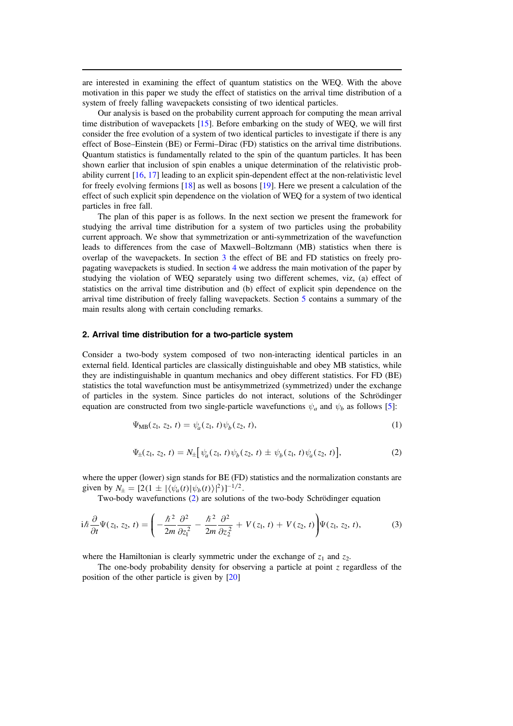are interested in examining the effect of quantum statistics on the WEQ. With the above motivation in this paper we study the effect of statistics on the arrival time distribution of a system of freely falling wavepackets consisting of two identical particles.

Our analysis is based on the probability current approach for computing the mean arrival time distribution of wavepackets [[15](#page-15-0)]. Before embarking on the study of WEQ, we will first consider the free evolution of a system of two identical particles to investigate if there is any effect of Bose–Einstein (BE) or Fermi–Dirac (FD) statistics on the arrival time distributions. Quantum statistics is fundamentally related to the spin of the quantum particles. It has been shown earlier that inclusion of spin enables a unique determination of the relativistic probability current [[16,](#page-15-1) [17](#page-15-2)] leading to an explicit spin-dependent effect at the non-relativistic level for freely evolving fermions [[18](#page-15-3)] as well as bosons [[19](#page-15-4)]. Here we present a calculation of the effect of such explicit spin dependence on the violation of WEQ for a system of two identical particles in free fall.

The plan of this paper is as follows. In the next section we present the framework for studying the arrival time distribution for a system of two particles using the probability current approach. We show that symmetrization or anti-symmetrization of the wavefunction leads to differences from the case of Maxwell–Boltzmann (MB) statistics when there is overlap of the wavepackets. In section [3](#page-4-0) the effect of BE and FD statistics on freely propagating wavepackets is studied. In section [4](#page-6-0) we address the main motivation of the paper by studying the violation of WEQ separately using two different schemes, viz, (a) effect of statistics on the arrival time distribution and (b) effect of explicit spin dependence on the arrival time distribution of freely falling wavepackets. Section [5](#page-13-0) contains a summary of the main results along with certain concluding remarks.

#### 2. Arrival time distribution for a two-particle system

Consider a two-body system composed of two non-interacting identical particles in an external field. Identical particles are classically distinguishable and obey MB statistics, while they are indistinguishable in quantum mechanics and obey different statistics. For FD (BE) statistics the total wavefunction must be antisymmetrized (symmetrized) under the exchange of particles in the system. Since particles do not interact, solutions of the Schrödinger equation are constructed from two single-particle wavefunctions  $\psi_a$  and  $\psi_b$  as follows [[5](#page-14-4)]:

$$
\Psi_{MB}(z_1, z_2, t) = \psi_a(z_1, t)\psi_b(z_2, t), \tag{1}
$$

$$
\Psi_{\pm}(z_1, z_2, t) = N_{\pm} [\psi_a(z_1, t) \psi_b(z_2, t) \pm \psi_b(z_1, t) \psi_a(z_2, t)], \qquad (2)
$$

<span id="page-2-0"></span>where the upper (lower) sign stands for BE (FD) statistics and the normalization constants are given by  $N_{\pm} = [2(1 \pm |\langle \psi_a(t) | \psi_b(t) \rangle|^2)]^{-1/2}$ .

Two-body wavefunctions ([2](#page-2-0)) are solutions of the two-body Schrödinger equation

$$
i\hbar\frac{\partial}{\partial t}\Psi(z_1,z_2,t)=\left(-\frac{\hbar^2}{2m}\frac{\partial^2}{\partial z_1^2}-\frac{\hbar^2}{2m}\frac{\partial^2}{\partial z_2^2}+V(z_1,t)+V(z_2,t)\right)\Psi(z_1,z_2,t),\qquad \qquad (3)
$$

where the Hamiltonian is clearly symmetric under the exchange of  $z_1$  and  $z_2$ .

<span id="page-2-1"></span>The one-body probability density for observing a particle at point  $z$  regardless of the position of the other particle is given by [[20](#page-15-5)]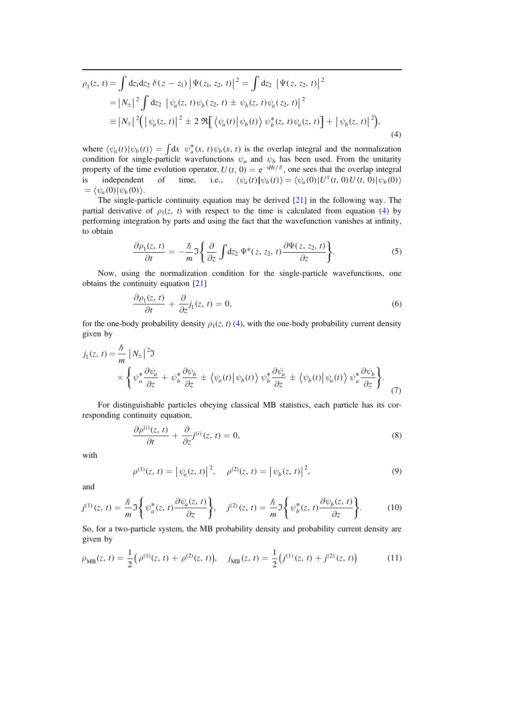$$
\rho_1(z, t) = \int dz_1 dz_2 \delta(z - z_1) |\Psi(z_1, z_2, t)|^2 = \int dz_2 |\Psi(z, z_2, t)|^2
$$
  
=  $|N_{\pm}|^2 \int dz_2 |\psi_a(z, t)\psi_b(z_2, t) \pm \psi_b(z, t)\psi_a(z_2, t)|^2$   

$$
\equiv |N_{\pm}|^2 (|\psi_a(z, t)|^2 \pm 2 \Re[\langle \psi_a(t) | \psi_b(t) \rangle \psi_b^*(z, t)\psi_a(z, t)] + |\psi_b(z, t)|^2),
$$
 (4)

where  $\langle \psi_a(t) | \psi_b(t) \rangle = \int dx \psi_a^*(x, t) \psi_b(x, t)$  is the overlap integral and the normalization condition for single-particle wavefunctions  $\psi_a$  and  $\psi_b$  has been used. From the unitarity property of the time evolution operator,  $U(t, 0) = e^{-iHt/\hbar}$ , one sees that the overlap integral is independent of time, i.e.,  $\langle \psi_a(t) | \psi_b(t) \rangle = \langle \psi_a(0) | U^{\dagger}(t, 0) U(t, 0) | \psi_b(0) \rangle$  $= \langle \psi_a(0) | \psi_b(0) \rangle$ .

The single-particle continuity equation may be derived  $[21]$  $[21]$  $[21]$  in the following way. The partial derivative of  $\rho_1(z, t)$  with respect to the time is calculated from equation ([4](#page-2-1)) by performing integration by parts and using the fact that the wavefunction vanishes at infinity, to obtain

$$
\frac{\partial \rho_1(z,\,t)}{\partial t} = -\frac{\hbar}{m} \mathfrak{I} \bigg\{ \frac{\partial}{\partial z} \int dz_2 \, \Psi^*(z,\, z_2,\, t) \frac{\partial \Psi(z,\, z_2,\, t)}{\partial z} \bigg\}.\tag{5}
$$

Now, using the normalization condition for the single-particle wavefunctions, one obtains the continuity equation [[21](#page-15-6)]

$$
\frac{\partial \rho_1(z,t)}{\partial t} + \frac{\partial}{\partial z} j_1(z,t) = 0, \tag{6}
$$

<span id="page-3-0"></span>for the one-body probability density  $\rho_1(z, t)$  ([4](#page-2-1)), with the one-body probability current density given by

$$
j_1(z, t) = \frac{\hbar}{m} |N_{\pm}|^2 \Im
$$
  
 
$$
\times \left\{ \psi_a^* \frac{\partial \psi_a}{\partial z} + \psi_b^* \frac{\partial \psi_b}{\partial z} \pm \left\langle \psi_a(t) | \psi_b(t) \right\rangle \psi_b^* \frac{\partial \psi_a}{\partial z} \pm \left\langle \psi_b(t) | \psi_a(t) \right\rangle \psi_a^* \frac{\partial \psi_b}{\partial z} \right\}.
$$
 (7)

For distinguishable particles obeying classical MB statistics, each particle has its corresponding continuity equation,

$$
\frac{\partial \rho^{(i)}(z,t)}{\partial t} + \frac{\partial}{\partial z} j^{(i)}(z,t) = 0,
$$
\n(8)

with

$$
\rho^{(1)}(z, t) = |\psi_a(z, t)|^2, \quad \rho^{(2)}(z, t) = |\psi_b(z, t)|^2,
$$
\n(9)

and

$$
j^{(1)}(z, t) = \frac{\hbar}{m} \mathfrak{I} \left\{ \psi_a^*(z, t) \frac{\partial \psi_a(z, t)}{\partial z} \right\}, \quad j^{(2)}(z, t) = \frac{\hbar}{m} \mathfrak{I} \left\{ \psi_b^*(z, t) \frac{\partial \psi_b(z, t)}{\partial z} \right\}.
$$
 (10)

So, for a two-particle system, the MB probability density and probability current density are given by

$$
\rho_{MB}(z, t) = \frac{1}{2} \Big( \rho^{(1)}(z, t) + \rho^{(2)}(z, t) \Big), \quad j_{MB}(z, t) = \frac{1}{2} \Big( j^{(1)}(z, t) + j^{(2)}(z, t) \Big) \tag{11}
$$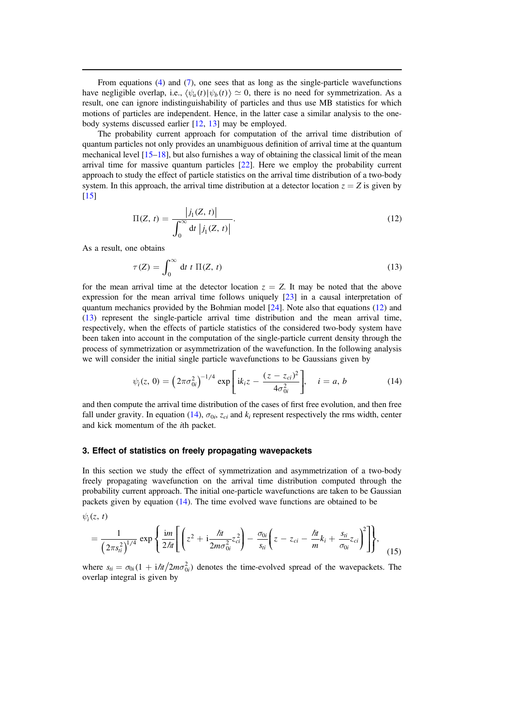From equations ([4](#page-2-1)) and ([7](#page-3-0)), one sees that as long as the single-particle wavefunctions have negligible overlap, i.e.,  $\langle \psi_a(t) | \psi_b(t) \rangle \simeq 0$ , there is no need for symmetrization. As a result, one can ignore indistinguishability of particles and thus use MB statistics for which motions of particles are independent. Hence, in the latter case a similar analysis to the onebody systems discussed earlier [[12](#page-14-11), [13](#page-14-12)] may be employed.

The probability current approach for computation of the arrival time distribution of quantum particles not only provides an unambiguous definition of arrival time at the quantum mechanical level  $[15–18]$  $[15–18]$  $[15–18]$  $[15–18]$  $[15–18]$ , but also furnishes a way of obtaining the classical limit of the mean arrival time for massive quantum particles [[22](#page-15-7)]. Here we employ the probability current approach to study the effect of particle statistics on the arrival time distribution of a two-body system. In this approach, the arrival time distribution at a detector location  $z = Z$  is given by  $[15]$  $[15]$  $[15]$ 

<span id="page-4-1"></span>
$$
\Pi(Z, t) = \frac{|j_1(Z, t)|}{\int_0^\infty dt |j_1(Z, t)|}.
$$
\n(12)

<span id="page-4-2"></span>As a result, one obtains

$$
\tau(Z) = \int_0^\infty dt \, t \, \Pi(Z, t) \tag{13}
$$

for the mean arrival time at the detector location  $z = Z$ . It may be noted that the above expression for the mean arrival time follows uniquely [[23](#page-15-8)] in a causal interpretation of quantum mechanics provided by the Bohmian model  $[24]$  $[24]$  $[24]$ . Note also that equations ([12](#page-4-1)) and ([13](#page-4-2)) represent the single-particle arrival time distribution and the mean arrival time, respectively, when the effects of particle statistics of the considered two-body system have been taken into account in the computation of the single-particle current density through the process of symmetrization or asymmetrization of the wavefunction. In the following analysis we will consider the initial single particle wavefunctions to be Gaussians given by

$$
\psi_i(z, 0) = \left(2\pi\sigma_{0i}^2\right)^{-1/4} \exp\left[ik_i z - \frac{(z - z_{ci})^2}{4\sigma_{0i}^2}\right], \quad i = a, b \tag{14}
$$

<span id="page-4-3"></span>and then compute the arrival time distribution of the cases of first free evolution, and then free fall under gravity. In equation ([14](#page-4-3)),  $\sigma_{0i}$ ,  $z_{ci}$  and  $k_i$  represent respectively the rms width, center and kick momentum of the ith packet.

# <span id="page-4-0"></span>3. Effect of statistics on freely propagating wavepackets

In this section we study the effect of symmetrization and asymmetrization of a two-body freely propagating wavefunction on the arrival time distribution computed through the probability current approach. The initial one-particle wavefunctions are taken to be Gaussian packets given by equation ([14](#page-4-3)). The time evolved wave functions are obtained to be

<span id="page-4-4"></span> $\psi_i(z, t)$ 

$$
= \frac{1}{\left(2\pi s_{ii}^2\right)^{1/4}} \exp\left\{\frac{im}{2\hbar t} \left[ \left( z^2 + i\frac{\hbar t}{2m\sigma_{0i}^2} z_{ci}^2 \right) - \frac{\sigma_{0i}}{s_{ii}} \left( z - z_{ci} - \frac{\hbar t}{m} k_i + \frac{s_{ti}}{\sigma_{0i}} z_{ci} \right)^2 \right] \right\},
$$
(15)

<span id="page-4-5"></span>where  $s_{ti} = \sigma_{0i}(1 + i\hslash t/2m\sigma_{0i}^2)$  denotes the time-evolved spread of the wavepackets. The overlap integral is given by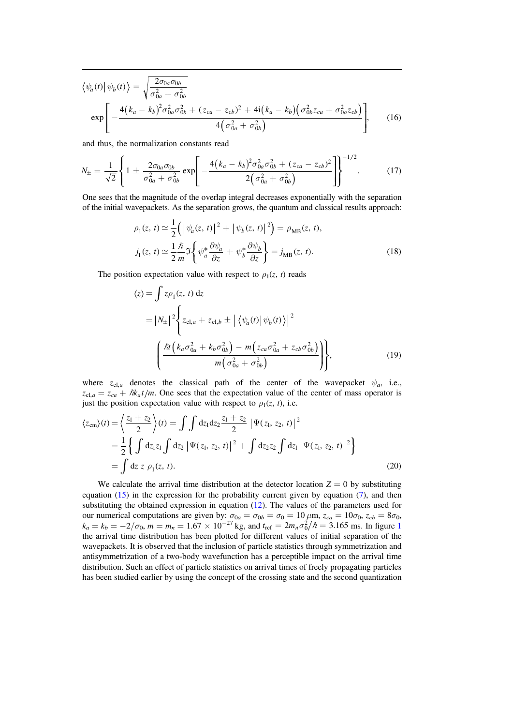$$
\langle \psi_a(t) | \psi_b(t) \rangle = \sqrt{\frac{2\sigma_{0a}\sigma_{0b}}{\sigma_{0a}^2 + \sigma_{0b}^2}} \exp\left[ -\frac{4(k_a - k_b)^2 \sigma_{0a}^2 \sigma_{0b}^2 + (z_{ca} - z_{cb})^2 + 4i(k_a - k_b)(\sigma_{0b}^2 z_{ca} + \sigma_{0a}^2 z_{cb})}{4(\sigma_{0a}^2 + \sigma_{0b}^2)} \right],
$$
 (16)

and thus, the normalization constants read

$$
N_{\pm} = \frac{1}{\sqrt{2}} \left\{ 1 \pm \frac{2\sigma_{0a}\sigma_{0b}}{\sigma_{0a}^2 + \sigma_{0b}^2} \exp\left[ -\frac{4(k_a - k_b)^2 \sigma_{0a}^2 \sigma_{0b}^2 + (z_{ca} - z_{cb})^2}{2(\sigma_{0a}^2 + \sigma_{0b}^2)} \right] \right\}^{-1/2}.
$$
 (17)

One sees that the magnitude of the overlap integral decreases exponentially with the separation of the initial wavepackets. As the separation grows, the quantum and classical results approach:

$$
\rho_1(z, t) \simeq \frac{1}{2} \left( \left| \psi_a(z, t) \right|^2 + \left| \psi_b(z, t) \right|^2 \right) = \rho_{MB}(z, t),
$$
  

$$
j_1(z, t) \simeq \frac{1}{2} \frac{\hbar}{m} \Im \left\{ \psi_a^* \frac{\partial \psi_a}{\partial z} + \psi_b^* \frac{\partial \psi_b}{\partial z} \right\} = j_{MB}(z, t).
$$
 (18)

The position expectation value with respect to  $\rho_1(z, t)$  reads

$$
z\rangle = \int z\rho_{1}(z, t) dz
$$
  
=  $|N_{\pm}|^{2} \Biggl\{ z_{cl,a} + z_{cl,b} \pm \left| \left\langle \psi_{a}(t) \right| \psi_{b}(t) \right|^{2} \Biggr\}$   

$$
\Biggl( \frac{\hbar t \left( k_{a} \sigma_{0a}^{2} + k_{b} \sigma_{0b}^{2} \right) - m \left( z_{ca} \sigma_{0a}^{2} + z_{cb} \sigma_{0b}^{2} \right)}{m \left( \sigma_{0a}^{2} + \sigma_{0b}^{2} \right)} \Biggr) \Biggr\},
$$
(19)

where  $z_{\text{cl},a}$  denotes the classical path of the center of the wavepacket  $\psi_a$ , i.e.,  $z_{\text{cl},a} = z_{ca} + \hbar k_a t/m$ . One sees that the expectation value of the center of mass operator is just the position expectation value with respect to  $\rho_1(z, t)$ , i.e.

$$
\langle z_{\rm cm} \rangle(t) = \left\langle \frac{z_1 + z_2}{2} \right\rangle(t) = \int \int dz_1 dz_2 \frac{z_1 + z_2}{2} \left| \Psi(z_1, z_2, t) \right|^2
$$
  
=  $\frac{1}{2} \left\{ \int dz_1 z_1 \int dz_2 \left| \Psi(z_1, z_2, t) \right|^2 + \int dz_2 z_2 \int dz_1 \left| \Psi(z_1, z_2, t) \right|^2 \right\}$   
=  $\int dz \ z \ \rho_1(z, t).$  (20)

We calculate the arrival time distribution at the detector location  $Z = 0$  by substituting equation ([15](#page-4-4)) in the expression for the probability current given by equation ([7](#page-3-0)), and then substituting the obtained expression in equation ([12](#page-4-1)). The values of the parameters used for our numerical computations are given by:  $\sigma_{0a} = \sigma_{0b} = \sigma_0 = 10 \,\mu$ m,  $z_{ca} = 10\sigma_0$ ,  $z_{cb} = 8\sigma_0$ ,  $k_a = k_b = -2/\sigma_0$ ,  $m = m_n = 1.67 \times 10^{-27}$  $m = m_n = 1.67 \times 10^{-27}$  $m = m_n = 1.67 \times 10^{-27}$  kg, and  $t_{\text{ref}} = 2m_n \sigma_0^2 / \hbar = 3.165$  ms. In figure 1 the arrival time distribution has been plotted for different values of initial separation of the wavepackets. It is observed that the inclusion of particle statistics through symmetrization and antisymmetrization of a two-body wavefunction has a perceptible impact on the arrival time distribution. Such an effect of particle statistics on arrival times of freely propagating particles has been studied earlier by using the concept of the crossing state and the second quantization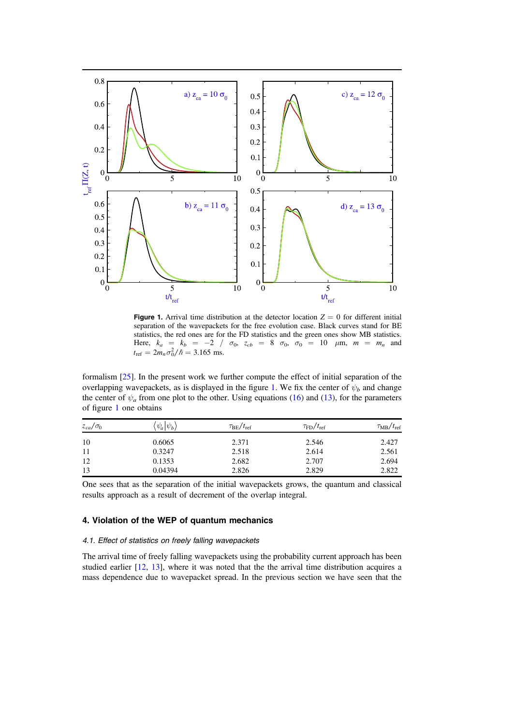<span id="page-6-1"></span>

**Figure 1.** Arrival time distribution at the detector location  $Z = 0$  for different initial separation of the wavepackets for the free evolution case. Black curves stand for BE statistics, the red ones are for the FD statistics and the green ones show MB statistics. Here,  $k_a = k_b = -2$  /  $\sigma_0$ ,  $z_{cb} = 8$   $\sigma_0$ ,  $\sigma_0 = 10$   $\mu$ m,  $m = m_n$  and  $t_{\text{ref}} = 2m_n \sigma_0^2 / \hbar = 3.165 \text{ ms}.$ 

formalism [[25](#page-15-10)]. In the present work we further compute the effect of initial separation of the overlapping wavepackets, as is displayed in the figure [1.](#page-6-1) We fix the center of  $\psi_b$  and change the center of  $\psi_a$  from one plot to the other. Using equations ([16](#page-4-5)) and ([13](#page-4-2)), for the parameters of figure [1](#page-6-1) one obtains

| $z_{ca}/\sigma_0$ | $\psi_a \psi_b\rangle$ | $\tau_{\rm BE}/t_{\rm ref}$ | $\tau_{\rm FD}/t_{\rm ref}$ | $\tau_{MB}/t_{\rm ref}$ |
|-------------------|------------------------|-----------------------------|-----------------------------|-------------------------|
| 10                | 0.6065                 | 2.371                       | 2.546                       | 2.427                   |
| 11                | 0.3247                 | 2.518                       | 2.614                       | 2.561                   |
| 12                | 0.1353                 | 2.682                       | 2.707                       | 2.694                   |
| 13                | 0.04394                | 2.826                       | 2.829                       | 2.822                   |

One sees that as the separation of the initial wavepackets grows, the quantum and classical results approach as a result of decrement of the overlap integral.

# <span id="page-6-0"></span>4. Violation of the WEP of quantum mechanics

#### 4.1. Effect of statistics on freely falling wavepackets

The arrival time of freely falling wavepackets using the probability current approach has been studied earlier [[12,](#page-14-11) [13](#page-14-12)], where it was noted that the the arrival time distribution acquires a mass dependence due to wavepacket spread. In the previous section we have seen that the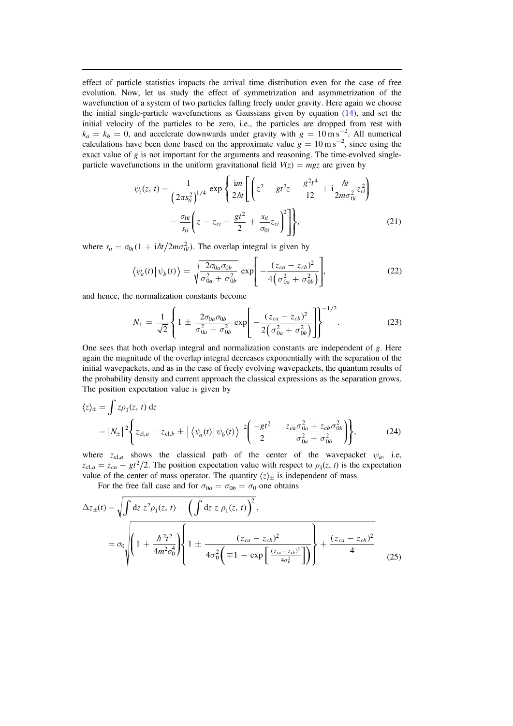effect of particle statistics impacts the arrival time distribution even for the case of free evolution. Now, let us study the effect of symmetrization and asymmetrization of the wavefunction of a system of two particles falling freely under gravity. Here again we choose the initial single-particle wavefunctions as Gaussians given by equation ([14](#page-4-3)), and set the initial velocity of the particles to be zero, i.e., the particles are dropped from rest with  $k_a = k_b = 0$ , and accelerate downwards under gravity with  $g = 10 \text{ m s}^{-2}$ . All numerical calculations have been done based on the approximate value  $g = 10 \text{ m s}^{-2}$ , since using the exact value of g is not important for the arguments and reasoning. The time-evolved singleparticle wavefunctions in the uniform gravitational field  $V(z) = mgz$  are given by

<span id="page-7-0"></span>
$$
\psi_i(z, t) = \frac{1}{\left(2\pi s_{ti}^2\right)^{1/4}} \exp\left\{\frac{im}{2\hslash t} \left[ \left(z^2 - gt^2 z - \frac{g^2 t^4}{12} + i\frac{\hslash t}{2m\sigma_{0i}^2} z_{ci}^2\right) - \frac{\sigma_{0i}}{s_{ti}} \left(z - z_{ci} + \frac{gt^2}{2} + \frac{s_{ti}}{\sigma_{0i}} z_{ci}\right)^2 \right] \right\},\tag{21}
$$

<span id="page-7-1"></span>where  $s_{ti} = \sigma_{0i} (1 + i \hbar t / 2m\sigma_{0i}^2)$ . The overlap integral is given by

$$
\left\langle \psi_a(t) \right| \psi_b(t) \left\rangle = \sqrt{\frac{2\sigma_{0a}\sigma_{0b}}{\sigma_{0a}^2 + \sigma_{0b}^2}} \exp\left[ -\frac{(z_{ca} - z_{cb})^2}{4(\sigma_{0a}^2 + \sigma_{0b}^2)} \right],
$$
\n(22)

and hence, the normalization constants become

$$
N_{\pm} = \frac{1}{\sqrt{2}} \left\{ 1 \pm \frac{2\sigma_{0a}\sigma_{0b}}{\sigma_{0a}^2 + \sigma_{0b}^2} \exp\left[ -\frac{(z_{ca} - z_{cb})^2}{2(\sigma_{0a}^2 + \sigma_{0b}^2)} \right] \right\}^{-1/2}.
$$
 (23)

One sees that both overlap integral and normalization constants are independent of g. Here again the magnitude of the overlap integral decreases exponentially with the separation of the initial wavepackets, and as in the case of freely evolving wavepackets, the quantum results of the probability density and current approach the classical expressions as the separation grows. The position expectation value is given by

$$
\langle z \rangle_{\pm} = \int z \rho_1(z, t) dz
$$
  
=  $|N_{\pm}|^2 \left\{ z_{cl,a} + z_{cl,b} \pm \left| \left\langle \psi_a(t) \right| \psi_b(t) \right\rangle \right|^2 \left( \frac{-gt^2}{2} - \frac{z_{ca} \sigma_{0a}^2 + z_{cb} \sigma_{0b}^2}{\sigma_{0a}^2 + \sigma_{0b}^2} \right) \right\},$  (24)

where  $z_{\text{cl},a}$  shows the classical path of the center of the wavepacket  $\psi_a$ , i.e,  $z_{\text{cl},a} = z_{ca} - gt^2/2$ . The position expectation value with respect to  $\rho_1(z, t)$  is the expectation value of the center of mass operator. The quantity  $\langle z \rangle_{\pm}$  is independent of mass.

For the free fall case and for  $\sigma_{0a} = \sigma_{0b} = \sigma_0$  one obtains

$$
\Delta z_{\pm}(t) = \sqrt{\int dz \ z^2 \rho_1(z, t) - \left(\int dz \ z \ \rho_1(z, t)\right)^2},
$$
  
=  $\sigma_0 \sqrt{\left(1 + \frac{\hbar^2 t^2}{4m^2 \sigma_0^4}\right) \left\{1 \pm \frac{(z_{ca} - z_{cb})^2}{4\sigma_0^2 \left(\mp 1 - \exp\left[\frac{(z_{ca} - z_{cb})^2}{4\sigma_0^2}\right]\right)}\right\} + \frac{(z_{ca} - z_{cb})^2}{4}}$  (25)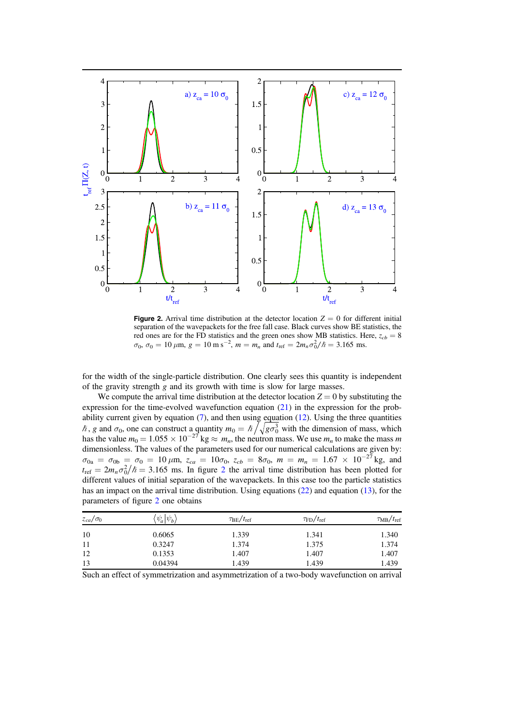<span id="page-8-0"></span>

**Figure 2.** Arrival time distribution at the detector location  $Z = 0$  for different initial separation of the wavepackets for the free fall case. Black curves show BE statistics, the red ones are for the FD statistics and the green ones show MB statistics. Here,  $z_{cb} = 8$  $\sigma_0$ ,  $\sigma_0 = 10 \,\mu\text{m}$ ,  $g = 10 \text{ m s}^{-2}$ ,  $m = m_n$  and  $t_{\text{ref}} = 2m_n \sigma_0^2/\hbar = 3.165 \text{ ms}$ .

for the width of the single-particle distribution. One clearly sees this quantity is independent of the gravity strength g and its growth with time is slow for large masses.

We compute the arrival time distribution at the detector location  $Z = 0$  by substituting the expression for the time-evolved wavefunction equation ([21](#page-7-0)) in the expression for the probability current given by equation  $(7)$  $(7)$  $(7)$ , and then using equation  $(12)$  $(12)$  $(12)$ . Using the three quantities  $\hbar$ , g and  $\sigma_0$ , one can construct a quantity  $m_0 = \hbar / \sqrt{g \sigma_0^3}$  with the dimension of mass, which has the value  $m_0 = 1.055 \times 10^{-27}$  kg  $\approx m_n$ , the neutron mass. We use  $m_n$  to make the mass m dimensionless. The values of the parameters used for our numerical calculations are given by:  $\sigma_{0a} = \sigma_{0b} = \sigma_0 = 10 \mu \text{m}, \ z_{ca} = 10 \sigma_0, \ z_{cb} = 8 \sigma_0, \ m = m_n = 1.67 \times 10^{-27} \text{kg}, \text{ and}$  $t_{\text{ref}} = 2m_n \sigma_0^2/\hbar = 3.165$  $t_{\text{ref}} = 2m_n \sigma_0^2/\hbar = 3.165$  $t_{\text{ref}} = 2m_n \sigma_0^2/\hbar = 3.165$  ms. In figure 2 the arrival time distribution has been plotted for different values of initial separation of the wavepackets. In this case too the particle statistics has an impact on the arrival time distribution. Using equations ([22](#page-7-1)) and equation ([13](#page-4-2)), for the parameters of figure [2](#page-8-0) one obtains

| $z_{ca}/\sigma_0$ | $\psi_a \psi_{b}$ | $\tau_{\rm BE}/t_{\rm ref}$ | $\tau_{\rm FD}/t_{\rm ref}$ | $\tau_{MB}/t_{\rm ref}$ |
|-------------------|-------------------|-----------------------------|-----------------------------|-------------------------|
| 10                | 0.6065            | 1.339                       | 1.341                       | 1.340                   |
| 11                | 0.3247            | 1.374                       | 1.375                       | 1.374                   |
| 12                | 0.1353            | 1.407                       | 1.407                       | 1.407                   |
| 13                | 0.04394           | 1.439                       | 1.439                       | 1.439                   |

Such an effect of symmetrization and asymmetrization of a two-body wavefunction on arrival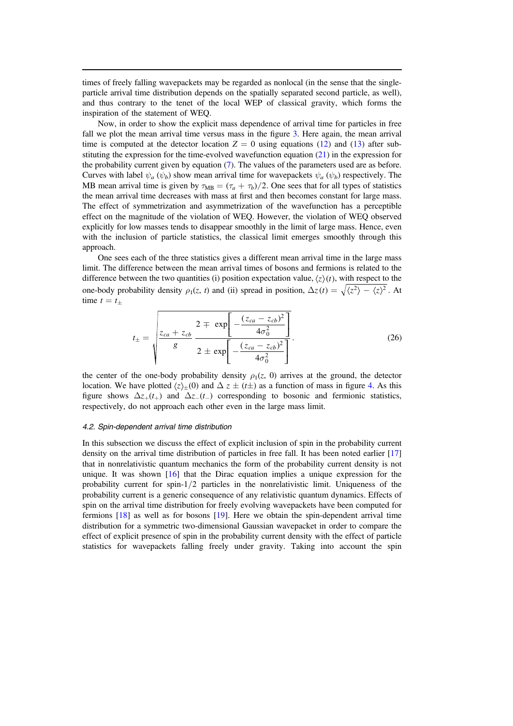times of freely falling wavepackets may be regarded as nonlocal (in the sense that the singleparticle arrival time distribution depends on the spatially separated second particle, as well), and thus contrary to the tenet of the local WEP of classical gravity, which forms the inspiration of the statement of WEQ.

Now, in order to show the explicit mass dependence of arrival time for particles in free fall we plot the mean arrival time versus mass in the figure [3.](#page-10-0) Here again, the mean arrival time is computed at the detector location  $Z = 0$  using equations ([12](#page-4-1)) and ([13](#page-4-2)) after substituting the expression for the time-evolved wavefunction equation  $(21)$  $(21)$  $(21)$  in the expression for the probability current given by equation ([7](#page-3-0)). The values of the parameters used are as before. Curves with label  $\psi_a$  ( $\psi_b$ ) show mean arrival time for wavepackets  $\psi_a$  ( $\psi_b$ ) respectively. The MB mean arrival time is given by  $\tau_{MB} = (\tau_a + \tau_b)/2$ . One sees that for all types of statistics the mean arrival time decreases with mass at first and then becomes constant for large mass. The effect of symmetrization and asymmetrization of the wavefunction has a perceptible effect on the magnitude of the violation of WEQ. However, the violation of WEQ observed explicitly for low masses tends to disappear smoothly in the limit of large mass. Hence, even with the inclusion of particle statistics, the classical limit emerges smoothly through this approach.

One sees each of the three statistics gives a different mean arrival time in the large mass limit. The difference between the mean arrival times of bosons and fermions is related to the difference between the two quantities (i) position expectation value,  $\langle z \rangle(t)$ , with respect to the one-body probability density  $\rho_1(z, t)$  and (ii) spread in position,  $\Delta z(t) = \sqrt{\langle z^2 \rangle - \langle z \rangle^2}$ . At time  $t = t_+$ 

$$
t_{\pm} = \sqrt{\frac{z_{ca} + z_{cb}}{g} \frac{2 \mp \exp\left[-\frac{(z_{ca} - z_{cb})^2}{4\sigma_0^2}\right]}{2 \pm \exp\left[-\frac{(z_{ca} - z_{cb})^2}{4\sigma_0^2}\right]}}.
$$
(26)

the center of the one-body probability density  $\rho_1(z, 0)$  arrives at the ground, the detector location. We have plotted  $\langle z \rangle_+(0)$  and  $\Delta z \pm (t\pm)$  as a function of mass in figure [4](#page-11-0). As this figure shows  $\Delta z_{+}(t_{+})$  and  $\Delta z_{-}(t_{-})$  corresponding to bosonic and fermionic statistics, respectively, do not approach each other even in the large mass limit.

#### 4.2. Spin-dependent arrival time distribution

In this subsection we discuss the effect of explicit inclusion of spin in the probability current density on the arrival time distribution of particles in free fall. It has been noted earlier [[17](#page-15-2)] that in nonrelativistic quantum mechanics the form of the probability current density is not unique. It was shown [[16](#page-15-1)] that the Dirac equation implies a unique expression for the probability current for spin-1/2 particles in the nonrelativistic limit. Uniqueness of the probability current is a generic consequence of any relativistic quantum dynamics. Effects of spin on the arrival time distribution for freely evolving wavepackets have been computed for fermions [[18](#page-15-3)] as well as for bosons [[19](#page-15-4)]. Here we obtain the spin-dependent arrival time distribution for a symmetric two-dimensional Gaussian wavepacket in order to compare the effect of explicit presence of spin in the probability current density with the effect of particle statistics for wavepackets falling freely under gravity. Taking into account the spin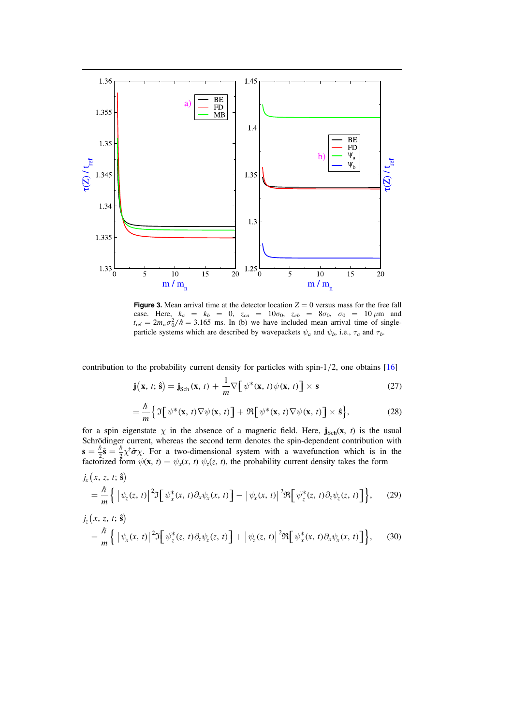<span id="page-10-0"></span>

**Figure 3.** Mean arrival time at the detector location  $Z = 0$  versus mass for the free fall case. Here,  $k_a = k_b = 0$ ,  $z_{ca} = 10\sigma_0$ ,  $z_{cb} = 8\sigma_0$ ,  $\sigma_0 = 10 \,\mu$ m and  $t_{\text{ref}} = 2m_n \sigma_0^2/\hbar = 3.165$  ms. In (b) we have included mean arrival time of singleparticle systems which are described by wavepackets  $\psi_a$  and  $\psi_b$ , i.e.,  $\tau_a$  and  $\tau_b$ .

contribution to the probability current density for particles with spin- $1/2$ , one obtains  $[16]$  $[16]$  $[16]$ 

$$
\mathbf{j}(\mathbf{x}, t; \hat{\mathbf{s}}) = \mathbf{j}_{\text{Sch}}(\mathbf{x}, t) + \frac{1}{m} \nabla \big[ \psi^*(\mathbf{x}, t) \psi(\mathbf{x}, t) \big] \times \mathbf{s}
$$
 (27)

$$
= \frac{\hbar}{m} \Big\{ \mathfrak{I} \Big[ \psi^*(\mathbf{x}, t) \nabla \psi(\mathbf{x}, t) \Big] + \mathfrak{R} \Big[ \psi^*(\mathbf{x}, t) \nabla \psi(\mathbf{x}, t) \Big] \times \hat{\mathbf{s}} \Big\},\tag{28}
$$

for a spin eigenstate  $\chi$  in the absence of a magnetic field. Here,  $\mathbf{j}_{Sch}(\mathbf{x}, t)$  is the usual Schrödinger current, whereas the second term denotes the spin-dependent contribution with  $\mathbf{s} = \frac{\hbar}{2} \hat{\mathbf{s}} = \frac{\hbar}{2} \chi^{\dagger} \hat{\boldsymbol{\sigma}} \chi$ . For a two-dimensional system with a wavefunction which is in the factorized form  $\psi(\mathbf{x}, t) = \psi_x(x, t) \psi_z(z, t)$ , the probability current density takes the form

$$
\begin{split} j_{x}\left(x,\,z,\,t;\,\hat{\mathbf{s}}\right) \\ &= \frac{\hbar}{m}\left\{\left|\,\psi_{z}(z,\,t)\right|^{2}\mathfrak{I}\left[\,\psi_{x}^{*}(x,\,t)\partial_{x}\psi_{x}(x,\,t)\right] - \left|\,\psi_{x}(x,\,t)\right|^{2}\mathfrak{R}\left[\,\psi_{z}^{*}(z,\,t)\partial_{z}\psi_{z}(z,\,t)\right]\right\},\end{split} \tag{29}
$$

$$
\begin{split} j_{z}(x, z, t; \hat{\mathbf{s}}) \\ &= \frac{\hbar}{m} \left\{ \left| \psi_{x}(x, t) \right|^{2} \mathfrak{I} \left[ \psi_{z}^{*}(z, t) \partial_{z} \psi_{z}(z, t) \right] + \left| \psi_{z}(z, t) \right|^{2} \Re \left[ \psi_{x}^{*}(x, t) \partial_{x} \psi_{x}(x, t) \right] \right\}, \end{split} \tag{30}
$$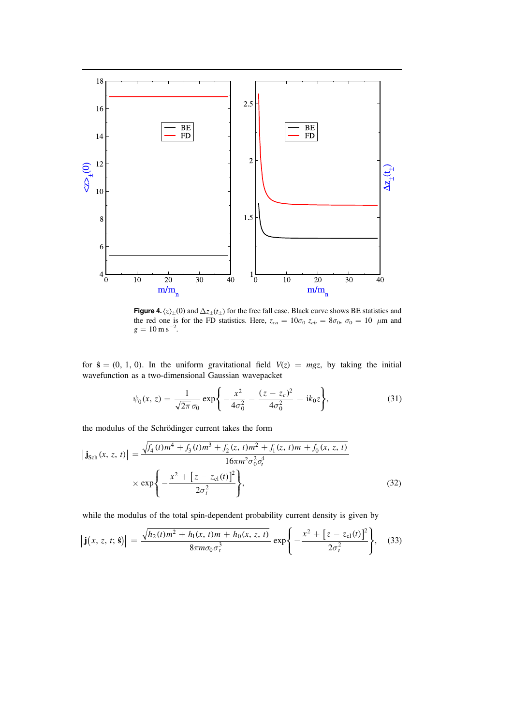<span id="page-11-0"></span>

**Figure 4.**  $\langle z \rangle_{\pm}(0)$  and  $\Delta z_{\pm}(t_{\pm})$  for the free fall case. Black curve shows BE statistics and the red one is for the FD statistics. Here,  $z_{ca} = 10\sigma_0$   $z_{cb} = 8\sigma_0$ ,  $\sigma_0 = 10 \mu$ m and  $g = 10 \text{ m s}^{-2}$ .

<span id="page-11-3"></span>for  $\hat{s} = (0, 1, 0)$ . In the uniform gravitational field  $V(z) = mgz$ , by taking the initial wavefunction as a two-dimensional Gaussian wavepacket

$$
\psi_0(x, z) = \frac{1}{\sqrt{2\pi} \sigma_0} \exp\bigg\{-\frac{x^2}{4\sigma_0^2} - \frac{(z - z_c)^2}{4\sigma_0^2} + ik_0 z\bigg\},\tag{31}
$$

<span id="page-11-1"></span>the modulus of the Schrödinger current takes the form

$$
\left| \mathbf{j}_{\text{Sch}}(x, z, t) \right| = \frac{\sqrt{f_4(t)m^4 + f_3(t)m^3 + f_2(z, t)m^2 + f_1(z, t)m + f_0(x, z, t)}}{16\pi m^2 \sigma_0^2 \sigma_t^4} \times \exp\left\{-\frac{x^2 + [z - z_{\text{cl}}(t)]^2}{2\sigma_t^2}\right\},\tag{32}
$$

<span id="page-11-2"></span>while the modulus of the total spin-dependent probability current density is given by

$$
\left|\mathbf{j}(x, z, t; \hat{\mathbf{s}})\right| = \frac{\sqrt{h_2(t)m^2 + h_1(x, t)m + h_0(x, z, t)}}{8\pi m \sigma_0 \sigma_t^3} \exp\left\{-\frac{x^2 + [z - z_{\text{cl}}(t)]^2}{2\sigma_t^2}\right\},\tag{33}
$$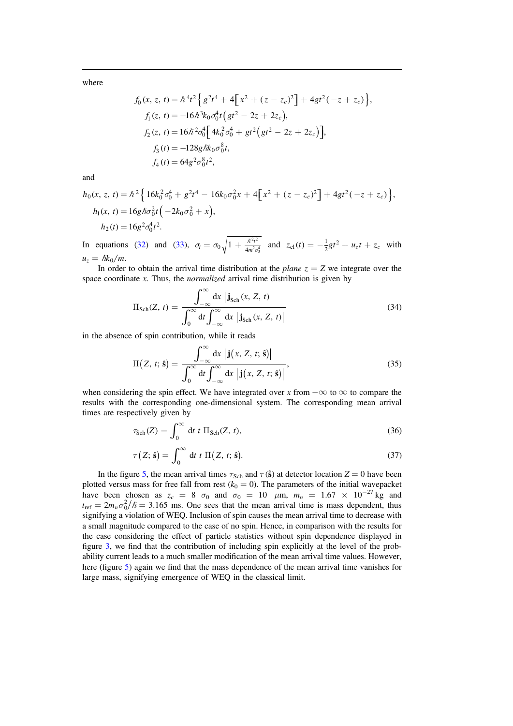where

$$
f_0(x, z, t) = \hbar^4 t^2 \left\{ g^2 t^4 + 4 \left[ x^2 + (z - z_c)^2 \right] + 4gt^2(-z + z_c) \right\},
$$
  
\n
$$
f_1(z, t) = -16 \hbar^3 k_0 \sigma_0^4 t \left( gt^2 - 2z + 2z_c \right),
$$
  
\n
$$
f_2(z, t) = 16 \hbar^2 \sigma_0^4 \left[ 4k_0^2 \sigma_0^4 + gt^2 \left( gt^2 - 2z + 2z_c \right) \right],
$$
  
\n
$$
f_3(t) = -128 g \hbar k_0 \sigma_0^8 t,
$$
  
\n
$$
f_4(t) = 64 g^2 \sigma_0^8 t^2,
$$

and

$$
h_0(x, z, t) = \hbar^2 \left\{ 16k_0^2 \sigma_0^4 + g^2 t^4 - 16k_0 \sigma_0^2 x + 4 \left[ x^2 + (z - z_c)^2 \right] + 4gt^2(-z + z_c) \right\},
$$
  
\n
$$
h_1(x, t) = 16g \hbar \sigma_0^2 t \left( -2k_0 \sigma_0^2 + x \right),
$$
  
\n
$$
h_2(t) = 16g^2 \sigma_0^4 t^2.
$$

In equations ([32](#page-11-1)) and ([33](#page-11-2)),  $\sigma_t = \sigma_0 \sqrt{1 + \frac{\hbar^2 t^2}{4m^2 \sigma^2}}$  $\sigma_t = \sigma_0 \sqrt{1 + \frac{\hbar^2 t^2}{4m^2 \sigma_0^4}}$  and  $z_{cl}(t) = -\frac{1}{2}gt^2 + u_z t + z_c$  with  $u_z = \hbar k_0/m$ .

In order to obtain the arrival time distribution at the plane  $z = Z$  we integrate over the space coordinate  $x$ . Thus, the *normalized* arrival time distribution is given by

$$
\Pi_{\text{Sch}}(Z, t) = \frac{\int_{-\infty}^{\infty} dx \left| \mathbf{j}_{\text{Sch}}(x, Z, t) \right|}{\int_{0}^{\infty} dt \int_{-\infty}^{\infty} dx \left| \mathbf{j}_{\text{Sch}}(x, Z, t) \right|}
$$
(34)

in the absence of spin contribution, while it reads

$$
\Pi(Z, t; \hat{\mathbf{s}}) = \frac{\int_{-\infty}^{\infty} dx \, \left| \mathbf{j}(x, Z, t; \hat{\mathbf{s}}) \right|}{\int_{0}^{\infty} dt \int_{-\infty}^{\infty} dx \, \left| \mathbf{j}(x, Z, t; \hat{\mathbf{s}}) \right|},\tag{35}
$$

when considering the spin effect. We have integrated over x from  $-\infty$  to  $\infty$  to compare the results with the corresponding one-dimensional system. The corresponding mean arrival times are respectively given by

$$
\tau_{\text{Sch}}(Z) = \int_0^\infty dt \ t \ \Pi_{\text{Sch}}(Z, t), \tag{36}
$$

$$
\tau(Z; \hat{\mathbf{s}}) = \int_0^\infty dt \ t \ \Pi(Z, t; \hat{\mathbf{s}}). \tag{37}
$$

In the figure [5,](#page-13-1) the mean arrival times  $\tau_{Sch}$  and  $\tau(\hat{s})$  at detector location  $Z = 0$  have been plotted versus mass for free fall from rest ( $k_0 = 0$ ). The parameters of the initial wavepacket have been chosen as  $z_c = 8 \sigma_0$  and  $\sigma_0 = 10 \mu m$ ,  $m_n = 1.67 \times 10^{-27}$  kg and  $t_{\text{ref}} = 2m_n \sigma_0^2/\hbar = 3.165$  ms. One sees that the mean arrival time is mass dependent, thus signifying a violation of WEQ. Inclusion of spin causes the mean arrival time to decrease with a small magnitude compared to the case of no spin. Hence, in comparison with the results for the case considering the effect of particle statistics without spin dependence displayed in figure [3](#page-10-0), we find that the contribution of including spin explicitly at the level of the probability current leads to a much smaller modification of the mean arrival time values. However, here (figure [5](#page-13-1)) again we find that the mass dependence of the mean arrival time vanishes for large mass, signifying emergence of WEQ in the classical limit.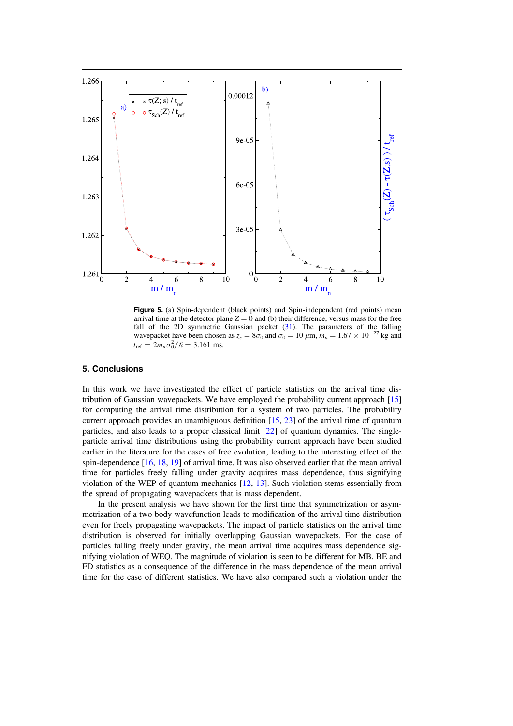<span id="page-13-1"></span>

Figure 5. (a) Spin-dependent (black points) and Spin-independent (red points) mean arrival time at the detector plane  $Z = 0$  and (b) their difference, versus mass for the free fall of the 2D symmetric Gaussian packet ([31](#page-11-3)). The parameters of the falling wavepacket have been chosen as  $z_c = 8\sigma_0$  and  $\sigma_0 = 10 \ \mu \text{m}$ ,  $m_n = 1.67 \times 10^{-27}$  kg and  $t_{\text{ref}} = 2m_n \sigma_0^2 / \hbar = 3.161 \text{ ms}.$ 

### <span id="page-13-0"></span>5. Conclusions

In this work we have investigated the effect of particle statistics on the arrival time distribution of Gaussian wavepackets. We have employed the probability current approach [[15](#page-15-0)] for computing the arrival time distribution for a system of two particles. The probability current approach provides an unambiguous definition  $[15, 23]$  $[15, 23]$  $[15, 23]$  $[15, 23]$  $[15, 23]$  of the arrival time of quantum particles, and also leads to a proper classical limit [[22](#page-15-7)] of quantum dynamics. The singleparticle arrival time distributions using the probability current approach have been studied earlier in the literature for the cases of free evolution, leading to the interesting effect of the spin-dependence [[16,](#page-15-1) [18,](#page-15-3) [19](#page-15-4)] of arrival time. It was also observed earlier that the mean arrival time for particles freely falling under gravity acquires mass dependence, thus signifying violation of the WEP of quantum mechanics [[12](#page-14-11), [13](#page-14-12)]. Such violation stems essentially from the spread of propagating wavepackets that is mass dependent.

In the present analysis we have shown for the first time that symmetrization or asymmetrization of a two body wavefunction leads to modification of the arrival time distribution even for freely propagating wavepackets. The impact of particle statistics on the arrival time distribution is observed for initially overlapping Gaussian wavepackets. For the case of particles falling freely under gravity, the mean arrival time acquires mass dependence signifying violation of WEQ. The magnitude of violation is seen to be different for MB, BE and FD statistics as a consequence of the difference in the mass dependence of the mean arrival time for the case of different statistics. We have also compared such a violation under the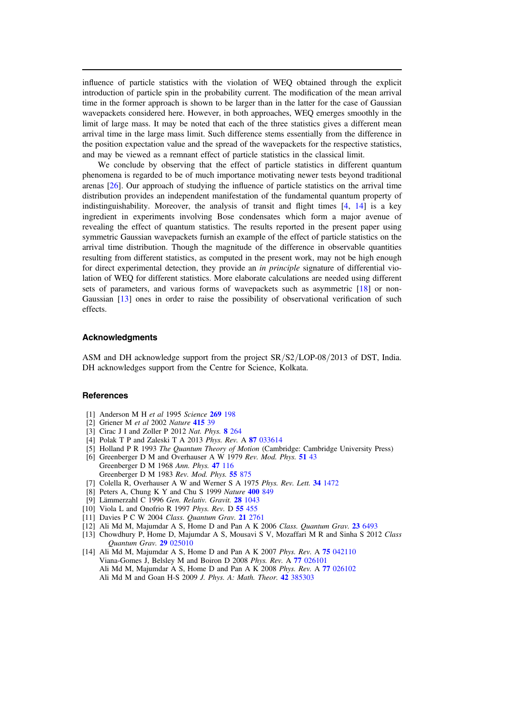influence of particle statistics with the violation of WEQ obtained through the explicit introduction of particle spin in the probability current. The modification of the mean arrival time in the former approach is shown to be larger than in the latter for the case of Gaussian wavepackets considered here. However, in both approaches, WEQ emerges smoothly in the limit of large mass. It may be noted that each of the three statistics gives a different mean arrival time in the large mass limit. Such difference stems essentially from the difference in the position expectation value and the spread of the wavepackets for the respective statistics, and may be viewed as a remnant effect of particle statistics in the classical limit.

We conclude by observing that the effect of particle statistics in different quantum phenomena is regarded to be of much importance motivating newer tests beyond traditional arenas [[26](#page-15-11)]. Our approach of studying the influence of particle statistics on the arrival time distribution provides an independent manifestation of the fundamental quantum property of indistinguishability. Moreover, the analysis of transit and flight times  $[4, 14]$  $[4, 14]$  $[4, 14]$  $[4, 14]$  $[4, 14]$  is a key ingredient in experiments involving Bose condensates which form a major avenue of revealing the effect of quantum statistics. The results reported in the present paper using symmetric Gaussian wavepackets furnish an example of the effect of particle statistics on the arrival time distribution. Though the magnitude of the difference in observable quantities resulting from different statistics, as computed in the present work, may not be high enough for direct experimental detection, they provide an *in principle* signature of differential violation of WEQ for different statistics. More elaborate calculations are needed using different sets of parameters, and various forms of wavepackets such as asymmetric [[18](#page-15-3)] or non-Gaussian [[13](#page-14-12)] ones in order to raise the possibility of observational verification of such effects.

# **Acknowledaments**

ASM and DH acknowledge support from the project SR/S2/LOP-08/2013 of DST, India. DH acknowledges support from the Centre for Science, Kolkata.

#### **References**

- <span id="page-14-0"></span>[1] Anderson M H et al 1995 Science 269 [198](http://dx.doi.org/10.1126/science.269.5221.198)
- <span id="page-14-1"></span>[2] Griener M et al 2002 Nature [415](http://dx.doi.org/10.1038/415039a) 39
- <span id="page-14-2"></span>[3] Cirac J I and Zoller P 2012 Nat. Phys. 8 [264](http://dx.doi.org/10.1038/nphys2275)
- <span id="page-14-3"></span>[4] Polak T P and Zaleski T A 2013 Phys. Rev. A 87 [033614](http://dx.doi.org/10.1103/PhysRevA.87.033614)
- <span id="page-14-5"></span><span id="page-14-4"></span>[5] Holland P R 1993 The Quantum Theory of Motion (Cambridge: Cambridge University Press) [6] Greenberger D M and Overhauser A W 1979 Rev. Mod. Phys. 51 [43](http://dx.doi.org/10.1103/RevModPhys.51.43) Greenberger D M 1968 Ann. Phys. 47 [116](http://dx.doi.org/10.1016/0003-4916(68)90229-7)
	- Greenberger D M 1983 Rev. Mod. Phys. 55 [875](http://dx.doi.org/10.1103/RevModPhys.55.875)
- <span id="page-14-6"></span>[7] Colella R, Overhauser A W and Werner S A 1975 Phys. Rev. Lett. 34 [1472](http://dx.doi.org/10.1103/PhysRevLett.34.1472)
- <span id="page-14-7"></span>[8] Peters A, Chung K Y and Chu S 1999 Nature [400](http://dx.doi.org/10.1038/23655) 849
- <span id="page-14-8"></span>[9] Lämmerzahl C 1996 Gen. Relativ. Gravit. 28 [1043](http://dx.doi.org/10.1007/BF02113157)
- <span id="page-14-9"></span>[10] Viola L and Onofrio R 1997 Phys. Rev. D  $55$  [455](http://dx.doi.org/10.1103/PhysRevD.55.455)
- <span id="page-14-10"></span>[11] Davies P C W 2004 Class. Quantum Grav. 21 [2761](http://dx.doi.org/10.1088/0264-9381/21/11/017)
- <span id="page-14-11"></span>[12] Ali Md M, Majumdar A S, Home D and Pan A K 2006 Class. Quantum Grav. 23 [6493](http://dx.doi.org/10.1088/0264-9381/23/22/024)
- <span id="page-14-12"></span>[13] Chowdhury P, Home D, Majumdar A S, Mousavi S V, Mozaffari M R and Sinha S 2012 Class Quantum Grav. 29 [025010](http://dx.doi.org/10.1088/0264-9381/29/2/025010)
- <span id="page-14-13"></span>[14] Ali Md M, Majumdar A S, Home D and Pan A K 2007 Phys. Rev. A 75 [042110](http://dx.doi.org/10.1103/PhysRevA.75.042110) Viana-Gomes J, Belsley M and Boiron D 2008 Phys. Rev. A 77 [026101](http://dx.doi.org/10.1103/PhysRevA.77.026101) Ali Md M, Majumdar A S, Home D and Pan A K 2008 Phys. Rev. A 77 [026102](http://dx.doi.org/10.1103/PhysRevA.77.026102) Ali Md M and Goan H-S 2009 J. Phys. A: Math. Theor. 42 [385303](http://dx.doi.org/10.1088/1751-8113/42/38/385303)